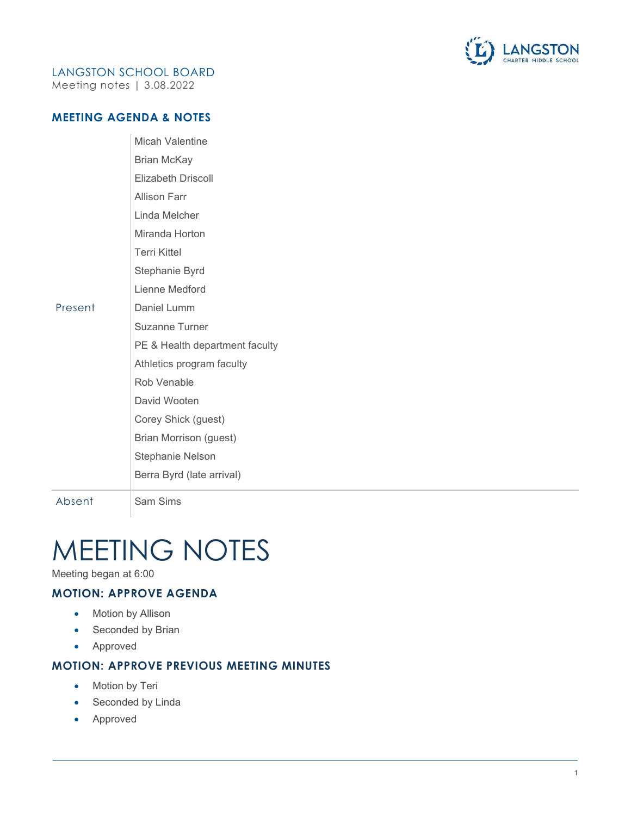

# LANGSTON SCHOOL BOARD

Meeting notes | 3.08.2022

#### MEETING AGENDA & NOTES

|         | <b>Micah Valentine</b>         |
|---------|--------------------------------|
|         | <b>Brian McKay</b>             |
|         | Elizabeth Driscoll             |
|         | <b>Allison Farr</b>            |
|         | Linda Melcher                  |
|         | Miranda Horton                 |
|         | <b>Terri Kittel</b>            |
|         | Stephanie Byrd                 |
|         | Lienne Medford                 |
| Present | Daniel Lumm                    |
|         | Suzanne Turner                 |
|         | PE & Health department faculty |
|         | Athletics program faculty      |
|         | Rob Venable                    |
|         | David Wooten                   |
|         | Corey Shick (guest)            |
|         | Brian Morrison (guest)         |
|         | <b>Stephanie Nelson</b>        |
|         | Berra Byrd (late arrival)      |
|         |                                |

Absent Sam Sims

# MEETING NOTES

Meeting began at 6:00

# MOTION: APPROVE AGENDA

- Motion by Allison
- Seconded by Brian
- Approved

# MOTION: APPROVE PREVIOUS MEETING MINUTES

- Motion by Teri
- Seconded by Linda
- Approved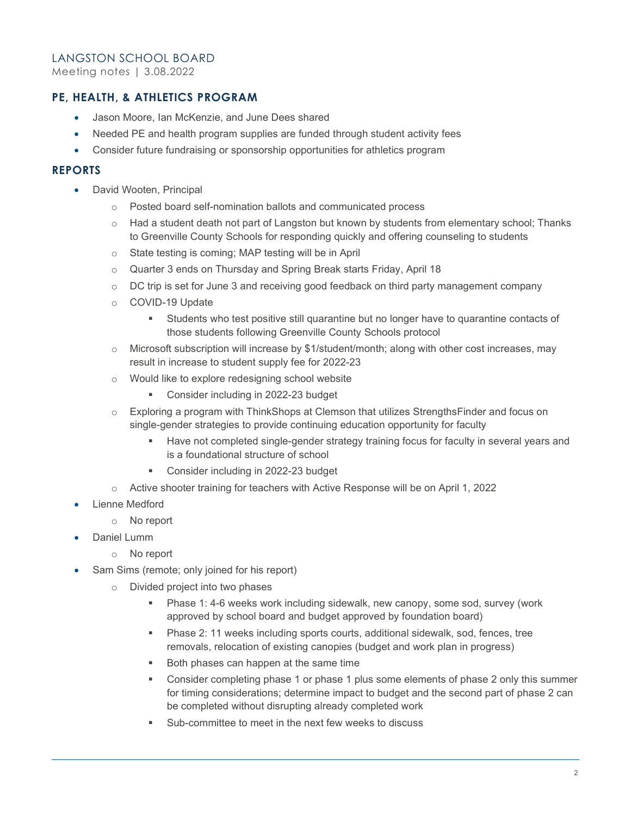Meeting notes | 3.08.2022

#### PE, HEALTH, & ATHLETICS PROGRAM

- Jason Moore, Ian McKenzie, and June Dees shared
- Needed PE and health program supplies are funded through student activity fees
- Consider future fundraising or sponsorship opportunities for athletics program

#### REPORTS

- David Wooten, Principal
	- o Posted board self-nomination ballots and communicated process
	- $\circ$  Had a student death not part of Langston but known by students from elementary school: Thanks to Greenville County Schools for responding quickly and offering counseling to students
	- o State testing is coming; MAP testing will be in April
	- o Quarter 3 ends on Thursday and Spring Break starts Friday, April 18
	- o DC trip is set for June 3 and receiving good feedback on third party management company
	- o COVID-19 Update
		- Students who test positive still quarantine but no longer have to quarantine contacts of those students following Greenville County Schools protocol
	- $\circ$  Microsoft subscription will increase by \$1/student/month; along with other cost increases, may result in increase to student supply fee for 2022-23
	- o Would like to explore redesigning school website
		- **Consider including in 2022-23 budget**
	- o Exploring a program with ThinkShops at Clemson that utilizes StrengthsFinder and focus on single-gender strategies to provide continuing education opportunity for faculty
		- Have not completed single-gender strategy training focus for faculty in several years and is a foundational structure of school
		- **Consider including in 2022-23 budget**
	- o Active shooter training for teachers with Active Response will be on April 1, 2022
- Lienne Medford
	- o No report
- Daniel Lumm
	- o No report
- Sam Sims (remote; only joined for his report)
	- o Divided project into two phases
		- Phase 1: 4-6 weeks work including sidewalk, new canopy, some sod, survey (work approved by school board and budget approved by foundation board)
		- Phase 2: 11 weeks including sports courts, additional sidewalk, sod, fences, tree removals, relocation of existing canopies (budget and work plan in progress)
		- Both phases can happen at the same time
		- Consider completing phase 1 or phase 1 plus some elements of phase 2 only this summer for timing considerations; determine impact to budget and the second part of phase 2 can be completed without disrupting already completed work
		- Sub-committee to meet in the next few weeks to discuss